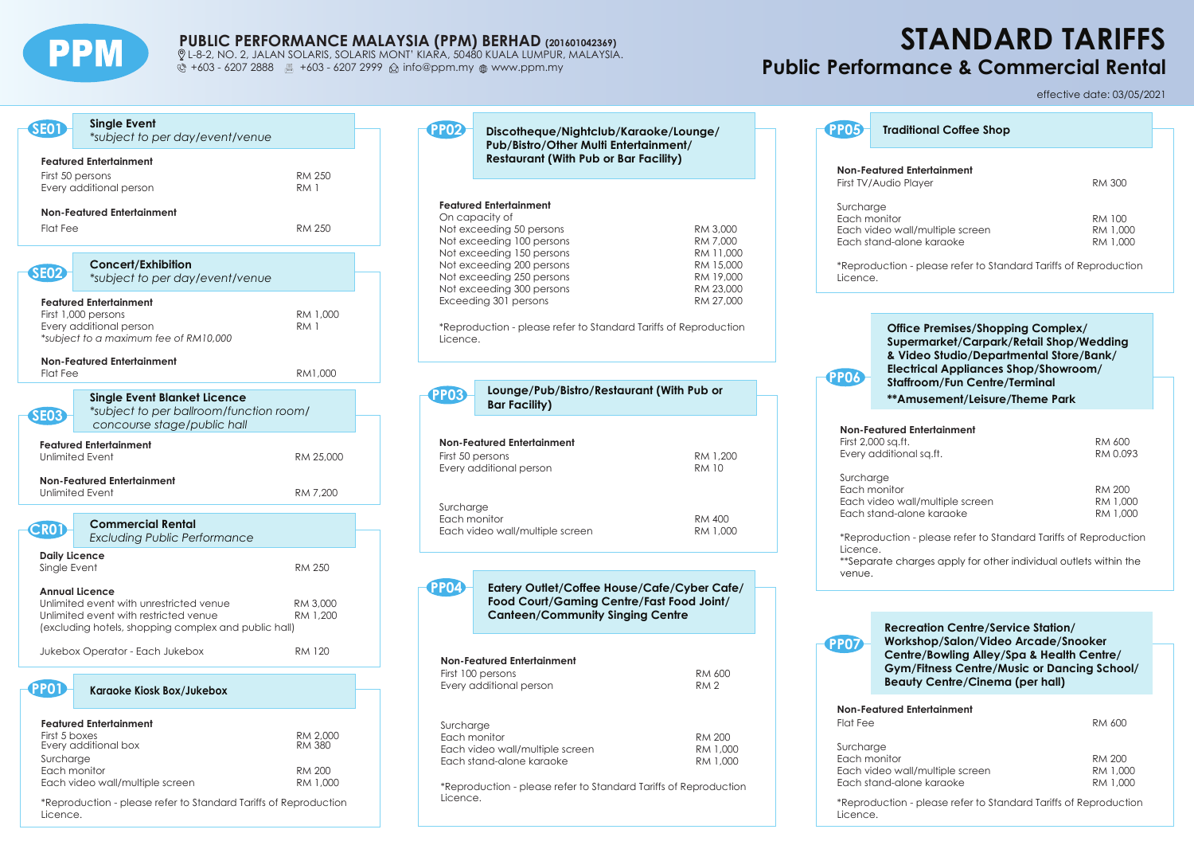

## **PUBLIC PERFORMANCE MALAYSIA (PPM) BERHAD (201601042369)**

 L-8-2, NO. 2, JALAN SOLARIS, SOLARIS MONT' KIARA, 50480 KUALA LUMPUR, MALAYSIA.  $\ddot{\text{C}}$  +603 - 6207 2888  $\text{H}$  +603 - 6207 2999  $\hat{\text{C}}$  info@ppm.my  $\text{H}$  www.ppm.my

**PP02**

# **STANDARD TARIFFS Public Performance & Commercial Rental**

| <b>SE01</b>                          | <b>Single Event</b><br>*subject to per day/event/venue                                                                                                            |                                            |
|--------------------------------------|-------------------------------------------------------------------------------------------------------------------------------------------------------------------|--------------------------------------------|
|                                      | <b>Featured Entertainment</b><br>First 50 persons<br>Every additional person                                                                                      | <b>RM 250</b><br>RM 1                      |
| <b>Flat Fee</b>                      | <b>Non-Featured Entertainment</b>                                                                                                                                 | <b>RM 250</b>                              |
| <b>SE02</b>                          | Concert/Exhibition<br>*subject to per day/event/venue                                                                                                             |                                            |
|                                      | <b>Featured Entertainment</b><br>First 1,000 persons<br>Every additional person<br>*subject to a maximum fee of RM10,000                                          | RM 1,000<br><b>RM1</b>                     |
| <b>Flat Fee</b>                      | <b>Non-Featured Entertainment</b>                                                                                                                                 | RM1,000                                    |
| <b>SE03</b>                          | <b>Single Event Blanket Licence</b><br>*subject to per ballroom/function room/<br>concourse stage/public hall                                                     |                                            |
|                                      | <b>Featured Entertainment</b><br><b>Unlimited Event</b>                                                                                                           | RM 25,000                                  |
|                                      | <b>Non-Featured Entertainment</b><br><b>Unlimited Event</b>                                                                                                       | RM 7,200                                   |
| <b>CRO1</b>                          | <b>Commercial Rental</b><br><b>Excluding Public Performance</b>                                                                                                   |                                            |
| <b>Daily Licence</b><br>Single Event |                                                                                                                                                                   | RM 250                                     |
|                                      | <b>Annual Licence</b><br>Unlimited event with unrestricted venue<br>Unlimited event with restricted venue<br>(excluding hotels, shopping complex and public hall) | RM 3,000<br>RM 1,200                       |
|                                      | Jukebox Operator - Each Jukebox                                                                                                                                   | <b>RM 120</b>                              |
| PP01)                                | Karaoke Kiosk Box/Jukebox                                                                                                                                         |                                            |
| First 5 boxes<br>Surcharge           | <b>Featured Entertainment</b><br>Every additional box<br>Each monitor                                                                                             | RM 2,000<br><b>RM 380</b><br><b>RM 200</b> |
|                                      | Each video wall/multiple screen                                                                                                                                   | RM 1,000                                   |

\*Reproduction - please refer to Standard Tariffs of Reproduction Licence.

| Discotheque/Nightclub/Karaoke/Lounge/<br>Pub/Bistro/Other Multi Entertainment/<br><b>Restaurant (With Pub or Bar Facility)</b>                                                                                                                        |                                                                                       |
|-------------------------------------------------------------------------------------------------------------------------------------------------------------------------------------------------------------------------------------------------------|---------------------------------------------------------------------------------------|
| <b>Featured Entertainment</b><br>On capacity of<br>Not exceeding 50 persons<br>Not exceeding 100 persons<br>Not exceeding 150 persons<br>Not exceeding 200 persons<br>Not exceeding 250 persons<br>Not exceeding 300 persons<br>Exceeding 301 persons | RM 3,000<br>RM 7.000<br>RM 11,000<br>RM 15,000<br>RM 19,000<br>RM 23,000<br>RM 27.000 |

\*Reproduction - please refer to Standard Tariffs of Reproduction Licence.

# **Non-Featured Entertainment**  First 50 persons RM 1,200 Every additional person Surcharge Each monitor **RM** 400 Each video wall/multiple screen RM 1,000 **Lounge/Pub/Bistro/Restaurant (With Pub or Bar Facility)**<br>Bar Facility

**PP04**

**Eatery Outlet/Coffee House/Cafe/Cyber Cafe/ Food Court/Gaming Centre/Fast Food Joint/ Canteen/Community Singing Centre** 

| Non-Featured Entertainment                                                   |             |
|------------------------------------------------------------------------------|-------------|
| First 100 persons                                                            | RM 600      |
| Every additional person                                                      | <b>RM 2</b> |
|                                                                              |             |
| Surcharge                                                                    |             |
| Each monitor                                                                 | RM 200      |
| Each video wall/multiple screen                                              | RM 1.000    |
| Each stand-alone karaoke                                                     | RM 1.000    |
| *Reproduction - please refer to Standard Tariffs of Reproduction<br>Licence. |             |

|                           |                                                                                                                                                                        | effective date: 03/05/2021     |  |
|---------------------------|------------------------------------------------------------------------------------------------------------------------------------------------------------------------|--------------------------------|--|
| <b>PP05</b>               | <b>Traditional Coffee Shop</b>                                                                                                                                         |                                |  |
|                           |                                                                                                                                                                        |                                |  |
|                           | Non-Featured Entertainment<br>First TV/Audio Player                                                                                                                    | RM 300                         |  |
| Surcharge<br>Each monitor | Each video wall/multiple screen<br>Each stand-alone karaoke                                                                                                            | RM 100<br>RM 1,000<br>RM 1.000 |  |
| Licence.                  | *Reproduction - please refer to Standard Tariffs of Reproduction                                                                                                       |                                |  |
| <b>PP06</b>               | Office Premises/Shopping Complex/<br>Supermarket/Carpark/Retail Shop/Wedding<br>& Video Studio/Departmental Store/Bank/<br><b>Electrical Appliances Shop/Showroom/</b> |                                |  |
|                           | Staffroom/Fun Centre/Terminal<br>**Amusement/Leisure/Theme Park                                                                                                        |                                |  |
|                           | <b>Non-Featured Entertainment</b><br>First 2,000 sq.ft.<br>Every additional sq.ft.                                                                                     | RM 600<br>RM 0.093             |  |
|                           |                                                                                                                                                                        |                                |  |

| RM 200   |
|----------|
| RM 1.000 |
| RM 1.000 |
|          |

\*Reproduction - please refer to Standard Tariffs of Reproduction Licence.

\*\*Separate charges apply for other individual outlets within the venue.



**Recreation Centre/Service Station/**

**Workshop/Salon/Video Arcade/Snooker Centre/Bowling Alley/Spa & Health Centre/ Gym/Fitness Centre/Music or Dancing School/ Beauty Centre/Cinema (per hall)**

| Non-Featured Entertainment |        |
|----------------------------|--------|
| Flat Fee                   | RM 600 |

| Surcharge                       |          |
|---------------------------------|----------|
| Each monitor                    | RM 200   |
| Each video wall/multiple screen | RM 1,000 |
| Each stand-alone karaoke        | RM 1,000 |

\*Reproduction - please refer to Standard Tariffs of Reproduction Licence.